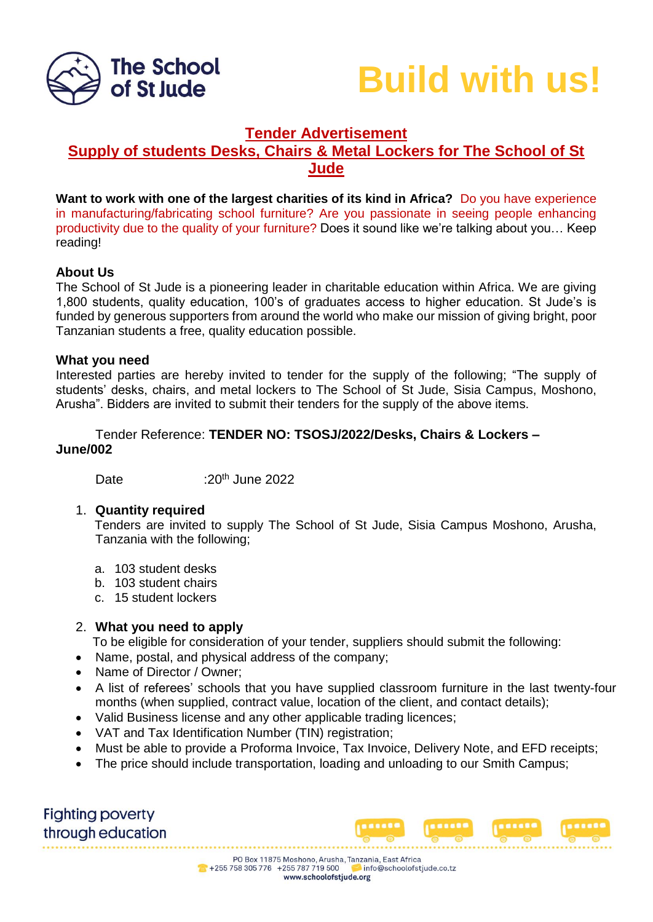



# **Tender Advertisement**

## **Supply of students Desks, Chairs & Metal Lockers for The School of St Jude**

**Want to work with one of the largest charities of its kind in Africa?** Do you have experience in manufacturing/fabricating school furniture? Are you passionate in seeing people enhancing productivity due to the quality of your furniture? Does it sound like we're talking about you… Keep reading!

## **About Us**

The School of St Jude is a pioneering leader in charitable education within Africa. We are giving 1,800 students, quality education, 100's of graduates access to higher education. St Jude's is funded by generous supporters from around the world who make our mission of giving bright, poor Tanzanian students a free, quality education possible.

#### **What you need**

Interested parties are hereby invited to tender for the supply of the following; "The supply of students' desks, chairs, and metal lockers to The School of St Jude, Sisia Campus, Moshono, Arusha". Bidders are invited to submit their tenders for the supply of the above items.

## Tender Reference: **TENDER NO: TSOSJ/2022/Desks, Chairs & Lockers – June/002**

Date :20<sup>th</sup> June 2022

#### 1. **Quantity required**

Tenders are invited to supply The School of St Jude, Sisia Campus Moshono, Arusha, Tanzania with the following;

- a. 103 student desks
- b. 103 student chairs
- c. 15 student lockers

#### 2. **What you need to apply**

To be eligible for consideration of your tender, suppliers should submit the following:

- Name, postal, and physical address of the company;
- Name of Director / Owner;
- A list of referees' schools that you have supplied classroom furniture in the last twenty-four months (when supplied, contract value, location of the client, and contact details);
- Valid Business license and any other applicable trading licences;
- VAT and Tax Identification Number (TIN) registration;
- Must be able to provide a Proforma Invoice, Tax Invoice, Delivery Note, and EFD receipts;
- The price should include transportation, loading and unloading to our Smith Campus;

**Fighting poverty** through education

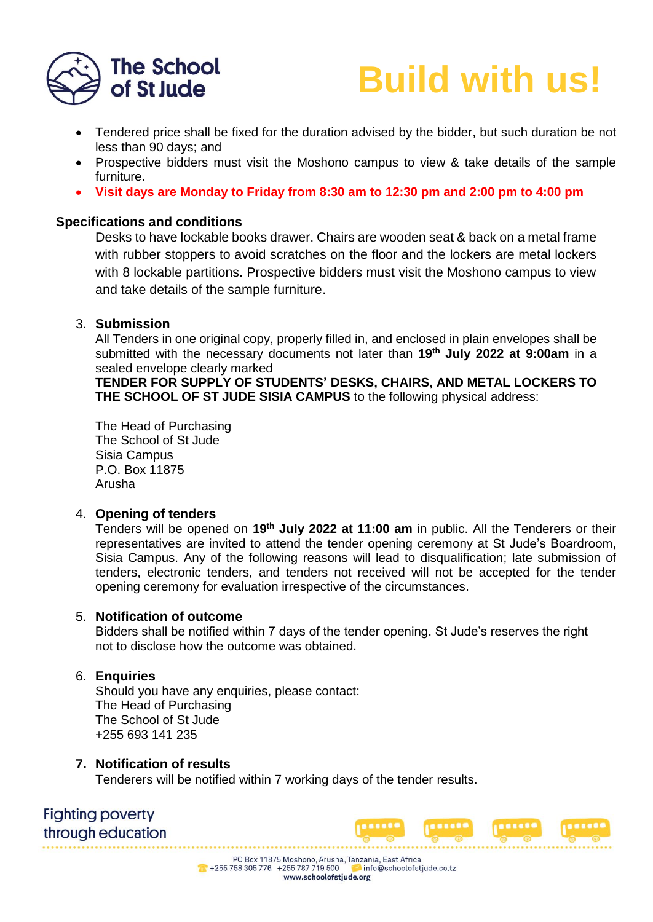



- Tendered price shall be fixed for the duration advised by the bidder, but such duration be not less than 90 days; and
- Prospective bidders must visit the Moshono campus to view & take details of the sample furniture.
- **Visit days are Monday to Friday from 8:30 am to 12:30 pm and 2:00 pm to 4:00 pm**

## **Specifications and conditions**

Desks to have lockable books drawer. Chairs are wooden seat & back on a metal frame with rubber stoppers to avoid scratches on the floor and the lockers are metal lockers with 8 lockable partitions. Prospective bidders must visit the Moshono campus to view and take details of the sample furniture.

## 3. **Submission**

All Tenders in one original copy, properly filled in, and enclosed in plain envelopes shall be submitted with the necessary documents not later than **19 th July 2022 at 9:00am** in a sealed envelope clearly marked

**TENDER FOR SUPPLY OF STUDENTS' DESKS, CHAIRS, AND METAL LOCKERS TO THE SCHOOL OF ST JUDE SISIA CAMPUS** to the following physical address:

The Head of Purchasing The School of St Jude Sisia Campus P.O. Box 11875 Arusha

## 4. **Opening of tenders**

Tenders will be opened on **19 th July 2022 at 11:00 am** in public. All the Tenderers or their representatives are invited to attend the tender opening ceremony at St Jude's Boardroom, Sisia Campus. Any of the following reasons will lead to disqualification; late submission of tenders, electronic tenders, and tenders not received will not be accepted for the tender opening ceremony for evaluation irrespective of the circumstances.

#### 5. **Notification of outcome**

Bidders shall be notified within 7 days of the tender opening. St Jude's reserves the right not to disclose how the outcome was obtained.

#### 6. **Enquiries**

Should you have any enquiries, please contact: The Head of Purchasing The School of St Jude +255 693 141 235

## **7. Notification of results**

Tenderers will be notified within 7 working days of the tender results.

**Fighting poverty** through education